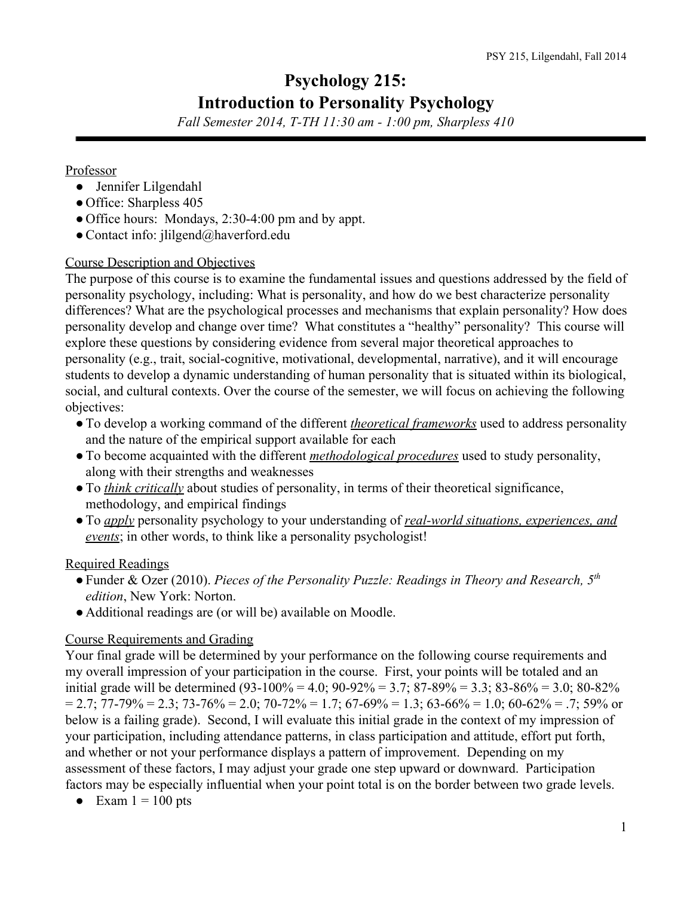# **Psychology 215: Introduction to Personality Psychology**

*Fall Semester 2014, TTH 11:30 am 1:00 pm, Sharpless 410*

#### Professor

- Jennifer Lilgendahl
- Office: Sharpless 405
- Office hours: Mondays, 2:30-4:00 pm and by appt.
- Contact info: jlilgend@haverford.edu

## Course Description and Objectives

The purpose of this course is to examine the fundamental issues and questions addressed by the field of personality psychology, including: What is personality, and how do we best characterize personality differences? What are the psychological processes and mechanisms that explain personality? How does personality develop and change over time? What constitutes a "healthy" personality? This course will explore these questions by considering evidence from several major theoretical approaches to personality (e.g., trait, social-cognitive, motivational, developmental, narrative), and it will encourage students to develop a dynamic understanding of human personality that is situated within its biological, social, and cultural contexts. Over the course of the semester, we will focus on achieving the following objectives:

- ●To develop a working command of the different *theoretical frameworks* used to address personality and the nature of the empirical support available for each
- ●To become acquainted with the different *methodological procedures* used to study personality, along with their strengths and weaknesses
- ●To *think critically* about studies of personality, in terms of their theoretical significance, methodology, and empirical findings
- ●To *apply* personality psychology to your understanding of *realworld situations, experiences, and events*; in other words, to think like a personality psychologist!

# Required Readings

- ●Funder & Ozer (2010). *Pieces of the Personality Puzzle: Readings in Theory and Research, 5 th edition*, New York: Norton.
- Additional readings are (or will be) available on Moodle.

# Course Requirements and Grading

Your final grade will be determined by your performance on the following course requirements and my overall impression of your participation in the course. First, your points will be totaled and an initial grade will be determined (93-100% = 4.0; 90-92% = 3.7; 87-89% = 3.3; 83-86% = 3.0; 80-82%  $= 2.7$ ; 77-79%  $= 2.3$ ; 73-76%  $= 2.0$ ; 70-72%  $= 1.7$ ; 67-69%  $= 1.3$ ; 63-66%  $= 1.0$ ; 60-62%  $= .7$ ; 59% or below is a failing grade). Second, I will evaluate this initial grade in the context of my impression of your participation, including attendance patterns, in class participation and attitude, effort put forth, and whether or not your performance displays a pattern of improvement. Depending on my assessment of these factors, I may adjust your grade one step upward or downward. Participation factors may be especially influential when your point total is on the border between two grade levels.

• Exam  $1 = 100$  pts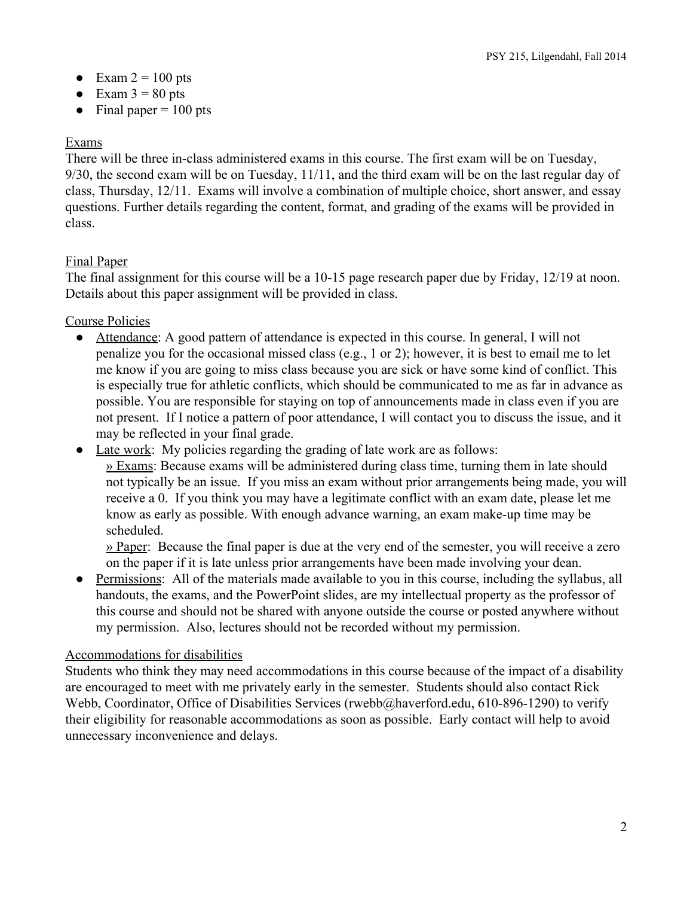- $\bullet$  Exam 2 = 100 pts
- Exam  $3 = 80$  pts
- Final paper  $= 100$  pts

## Exams

There will be three in-class administered exams in this course. The first exam will be on Tuesday, 9/30, the second exam will be on Tuesday, 11/11, and the third exam will be on the last regular day of class, Thursday, 12/11. Exams will involve a combination of multiple choice, short answer, and essay questions. Further details regarding the content, format, and grading of the exams will be provided in class.

## Final Paper

The final assignment for this course will be a 10-15 page research paper due by Friday, 12/19 at noon. Details about this paper assignment will be provided in class.

Course Policies

- Attendance: A good pattern of attendance is expected in this course. In general, I will not penalize you for the occasional missed class (e.g., 1 or 2); however, it is best to email me to let me know if you are going to miss class because you are sick or have some kind of conflict. This is especially true for athletic conflicts, which should be communicated to me as far in advance as possible. You are responsible for staying on top of announcements made in class even if you are not present. If I notice a pattern of poor attendance, I will contact you to discuss the issue, and it may be reflected in your final grade.
- Late work: My policies regarding the grading of late work are as follows: » Exams: Because exams will be administered during class time, turning them in late should not typically be an issue. If you miss an exam without prior arrangements being made, you will receive a 0. If you think you may have a legitimate conflict with an exam date, please let me know as early as possible. With enough advance warning, an exam make-up time may be scheduled.

 $\frac{y}{x}$  Paper: Because the final paper is due at the very end of the semester, you will receive a zero on the paper if it is late unless prior arrangements have been made involving your dean.

• Permissions: All of the materials made available to you in this course, including the syllabus, all handouts, the exams, and the PowerPoint slides, are my intellectual property as the professor of this course and should not be shared with anyone outside the course or posted anywhere without my permission. Also, lectures should not be recorded without my permission.

#### Accommodations for disabilities

Students who think they may need accommodations in this course because of the impact of a disability are encouraged to meet with me privately early in the semester. Students should also contact Rick Webb, Coordinator, Office of Disabilities Services (rwebb@haverford.edu, 610-896-1290) to verify their eligibility for reasonable accommodations as soon as possible. Early contact will help to avoid unnecessary inconvenience and delays.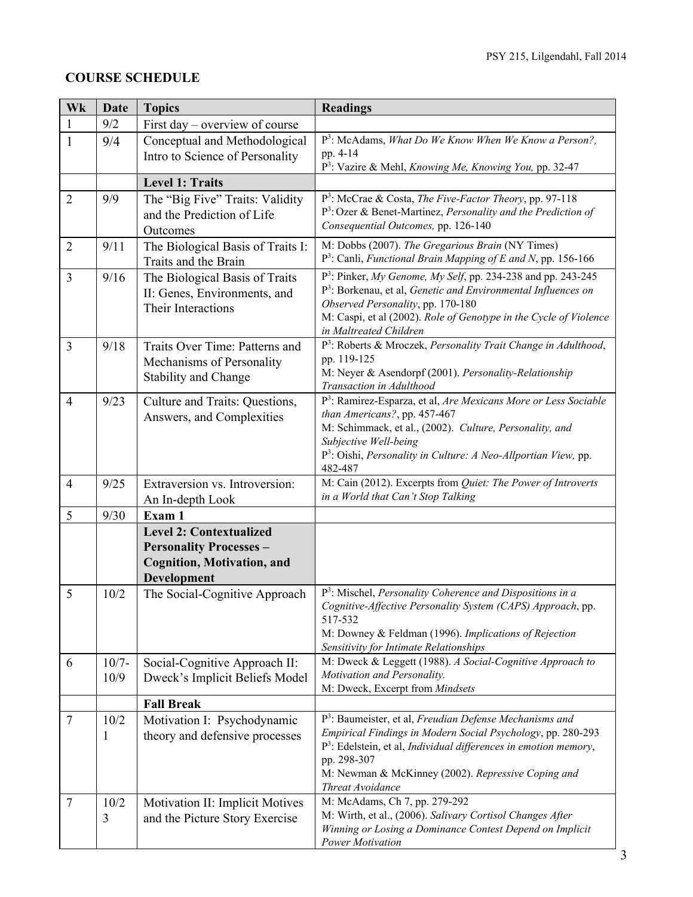# **COURSE SCHEDULE**

| Wk             | <b>Date</b>  | <b>Topics</b>                                                 | <b>Readings</b>                                                                                                                                  |
|----------------|--------------|---------------------------------------------------------------|--------------------------------------------------------------------------------------------------------------------------------------------------|
| $\mathbf{1}$   | 9/2          | First day – overview of course                                |                                                                                                                                                  |
| $\mathbf{1}$   | 9/4          | Conceptual and Methodological                                 | P <sup>3</sup> : McAdams, What Do We Know When We Know a Person?,                                                                                |
|                |              | Intro to Science of Personality                               | pp. 4-14                                                                                                                                         |
|                |              |                                                               | P <sup>3</sup> : Vazire & Mehl, <i>Knowing Me, Knowing You</i> , pp. 32-47                                                                       |
|                |              | <b>Level 1: Traits</b>                                        |                                                                                                                                                  |
| $\overline{2}$ | 9/9          | The "Big Five" Traits: Validity<br>and the Prediction of Life | P <sup>3</sup> : McCrae & Costa, The Five-Factor Theory, pp. 97-118<br>P <sup>3</sup> : Ozer & Benet-Martinez, Personality and the Prediction of |
|                |              | Outcomes                                                      | Consequential Outcomes, pp. 126-140                                                                                                              |
| $\overline{2}$ | 9/11         | The Biological Basis of Traits I:                             | M: Dobbs (2007). The Gregarious Brain (NY Times)                                                                                                 |
|                |              | Traits and the Brain                                          | $P^3$ : Canli, <i>Functional Brain Mapping of E and N</i> , pp. 156-166                                                                          |
| 3              | 9/16         | The Biological Basis of Traits                                | P <sup>3</sup> : Pinker, My Genome, My Self, pp. 234-238 and pp. 243-245                                                                         |
|                |              | II: Genes, Environments, and                                  | P <sup>3</sup> : Borkenau, et al, Genetic and Environmental Influences on                                                                        |
|                |              | Their Interactions                                            | Observed Personality, pp. 170-180                                                                                                                |
|                |              |                                                               | M: Caspi, et al (2002). Role of Genotype in the Cycle of Violence                                                                                |
|                |              |                                                               | in Maltreated Children<br>P <sup>3</sup> : Roberts & Mroczek, Personality Trait Change in Adulthood,                                             |
| 3              | 9/18         | Traits Over Time: Patterns and<br>Mechanisms of Personality   | pp. 119-125                                                                                                                                      |
|                |              | <b>Stability and Change</b>                                   | M: Neyer & Asendorpf (2001). Personality-Relationship                                                                                            |
|                |              |                                                               | Transaction in Adulthood                                                                                                                         |
| $\overline{4}$ | 9/23         | Culture and Traits: Questions,                                | P <sup>3</sup> : Ramirez-Esparza, et al, Are Mexicans More or Less Sociable                                                                      |
|                |              | Answers, and Complexities                                     | than Americans?, pp. 457-467                                                                                                                     |
|                |              |                                                               | M: Schimmack, et al., (2002). Culture, Personality, and<br>Subjective Well-being                                                                 |
|                |              |                                                               | P <sup>3</sup> : Oishi, <i>Personality in Culture: A Neo-Allportian View</i> , pp.                                                               |
|                |              |                                                               | 482-487                                                                                                                                          |
| $\overline{4}$ | 9/25         | Extraversion vs. Introversion:                                | M: Cain (2012). Excerpts from Quiet: The Power of Introverts                                                                                     |
|                |              | An In-depth Look                                              | in a World that Can't Stop Talking                                                                                                               |
| 5              | 9/30         | Exam 1                                                        |                                                                                                                                                  |
|                |              | <b>Level 2: Contextualized</b>                                |                                                                                                                                                  |
|                |              | <b>Personality Processes -</b>                                |                                                                                                                                                  |
|                |              | <b>Cognition, Motivation, and</b>                             |                                                                                                                                                  |
| 5              | 10/2         | Development                                                   | $P3$ : Mischel, <i>Personality Coherence and Dispositions in a</i>                                                                               |
|                |              | The Social-Cognitive Approach                                 | Cognitive-Affective Personality System (CAPS) Approach, pp.                                                                                      |
|                |              |                                                               | 517-532                                                                                                                                          |
|                |              |                                                               | M: Downey & Feldman (1996). Implications of Rejection                                                                                            |
|                |              |                                                               | Sensitivity for Intimate Relationships                                                                                                           |
| 6              | $10/7 -$     | Social-Cognitive Approach II:                                 | M: Dweck & Leggett (1988). A Social-Cognitive Approach to<br>Motivation and Personality.                                                         |
|                | 10/9         | Dweck's Implicit Beliefs Model                                | M: Dweck, Excerpt from Mindsets                                                                                                                  |
|                |              | <b>Fall Break</b>                                             |                                                                                                                                                  |
| $\tau$         | 10/2         | Motivation I: Psychodynamic                                   | P <sup>3</sup> : Baumeister, et al, Freudian Defense Mechanisms and                                                                              |
|                | $\mathbf{1}$ | theory and defensive processes                                | Empirical Findings in Modern Social Psychology, pp. 280-293                                                                                      |
|                |              |                                                               | $P3$ : Edelstein, et al, Individual differences in emotion memory,                                                                               |
|                |              |                                                               | pp. 298-307<br>M: Newman & McKinney (2002). Repressive Coping and                                                                                |
|                |              |                                                               | Threat Avoidance                                                                                                                                 |
| $\overline{7}$ | 10/2         | Motivation II: Implicit Motives                               | M: McAdams, Ch 7, pp. 279-292                                                                                                                    |
|                | 3            | and the Picture Story Exercise                                | M: Wirth, et al., (2006). Salivary Cortisol Changes After                                                                                        |
|                |              |                                                               | Winning or Losing a Dominance Contest Depend on Implicit                                                                                         |
|                |              |                                                               | Power Motivation                                                                                                                                 |